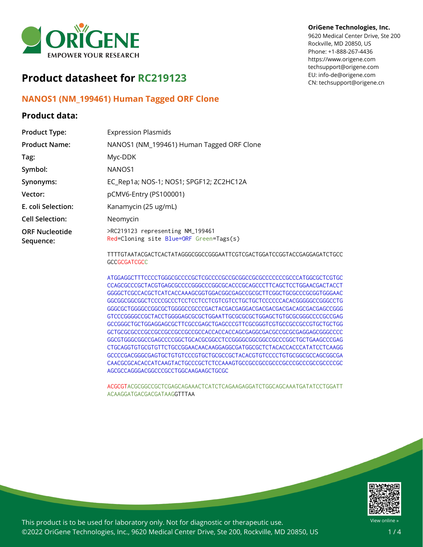

# **Product datasheet for RC219123**

## **NANOS1 (NM\_199461) Human Tagged ORF Clone**

### **Product data:**

#### **OriGene Technologies, Inc.**

9620 Medical Center Drive, Ste 200 Rockville, MD 20850, US Phone: +1-888-267-4436 https://www.origene.com techsupport@origene.com EU: info-de@origene.com CN: techsupport@origene.cn

| <b>Product Type:</b>               | <b>Expression Plasmids</b>                                                  |
|------------------------------------|-----------------------------------------------------------------------------|
| <b>Product Name:</b>               | NANOS1 (NM_199461) Human Tagged ORF Clone                                   |
| Tag:                               | Myc-DDK                                                                     |
| Symbol:                            | NANOS <sub>1</sub>                                                          |
| Synonyms:                          | EC_Rep1a; NOS-1; NOS1; SPGF12; ZC2HC12A                                     |
| Vector:                            | pCMV6-Entry (PS100001)                                                      |
| E. coli Selection:                 | Kanamycin (25 ug/mL)                                                        |
| <b>Cell Selection:</b>             | Neomycin                                                                    |
| <b>ORF Nucleotide</b><br>Sequence: | >RC219123 representing NM_199461<br>Red=Cloning site Blue=ORF Green=Tags(s) |
|                                    | TTTTAT LITIAA LATA LATIT LAAAAAAAAAA LITTAATAA LATAA LTAAAAT LAA            |

TTTTGTAATACGACTCACTATAGGGCGGCCGGGAATTCGTCGACTGGATCCGGTACCGAGGAGATCTGCC **GCCGCGATCGCC** 

ATGGAGGCTTTCCCCTGGGCGCCCCGCTCGCCCCGCCGCGGCCGCGCCCCCCCGCCCATGGCGCTCGTGC CCAGCGCCCGCTACGTGAGCGCCCCGGGCCCGGCGCACCCGCAGCCCTTCAGCTCCTGGAACGACTACCT GGGGCTCGCCACGCTCATCACCAAAGCGGTGGACGGCGAGCCGCGCTTCGGCTGCGCCCGCGGTGGGAAC GGCGGCGGCGGCTCCCCGCCCTCCTCCTCCTCGTCGTCCTGCTGCTCCCCCCACACGGGGGCCGGGCCTG GGGCGCTGGGGCCGGCGCTGGGGCCGCCCGACTACGACGAGGACGACGACGACGACAGCGACGAGCCGGG GTCCCGGGGCCGCTACCTGGGGAGCGCGCTGGAATTGCGCGCGCTGGAGCTGTGCGCGGGCCCCGCCGAG GCCGGGCTGCTGGAGGAGCGCTTCGCCGAGCTGAGCCCGTTCGCGGGTCGTGCCGCCGCCGTGCTGCTGG GCTGCGCGCCCGCCGCCGCCGCCGCCGCCACCACCACCAGCGAGGCGACGCCGCGCGAGGAGCGGGCCCC GGCGTGGGCGGCCGAGCCCCGGCTGCACGCGGCCTCCGGGGCGGCGGCCGCCCGGCTGCTGAAGCCCGAG CTGCAGGTGTGCGTGTTCTGCCGGAACAACAAGGAGGCGATGGCGCTCTACACCACCCATATCCTCAAGG GCCCCGACGGGCGAGTGCTGTGTCCCGTGCTGCGCCGCTACACGTGTCCCCTGTGCGGCGCCAGCGGCGA CAACGCGCACACCATCAAGTACTGCCCGCTCTCCAAAGTGCCGCCGCCGCCCGCCCGCCCGCCGCCCCGC AGCGCCAGGGACGGCCCGCCTGGCAAGAAGCTGCGC

ACGCGTACGCGGCCGCTCGAGCAGAAACTCATCTCAGAAGAGGATCTGGCAGCAAATGATATCCTGGATT ACAAGGATGACGACGATAAGGTTTAA



This product is to be used for laboratory only. Not for diagnostic or therapeutic use. ©2022 OriGene Technologies, Inc., 9620 Medical Center Drive, Ste 200, Rockville, MD 20850, US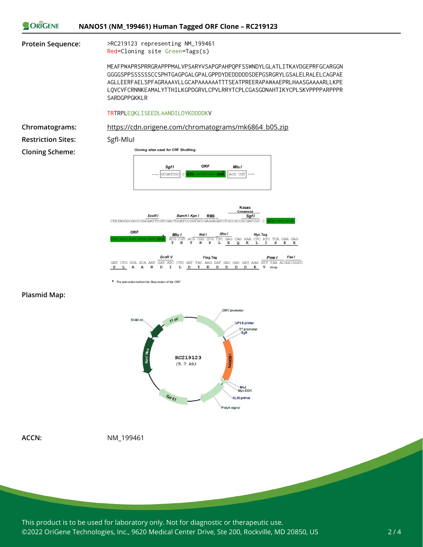



\* The last codon before the Stop codon of the ORF

#### **Plasmid Map:**



**ACCN:** NM\_199461

This product is to be used for laboratory only. Not for diagnostic or therapeutic use. ©2022 OriGene Technologies, Inc., 9620 Medical Center Drive, Ste 200, Rockville, MD 20850, US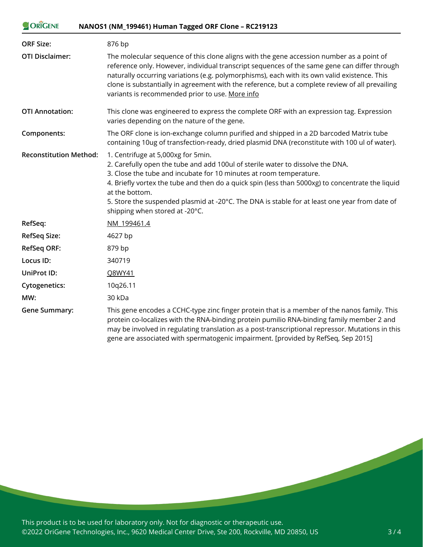| ORIGENE | NANOS1 (NM_199461) Human Tagged ORF Clone - RC219123 |
|---------|------------------------------------------------------|
|---------|------------------------------------------------------|

| <b>ORF Size:</b>              | 876 bp                                                                                                                                                                                                                                                                                                                                                                                                                                              |
|-------------------------------|-----------------------------------------------------------------------------------------------------------------------------------------------------------------------------------------------------------------------------------------------------------------------------------------------------------------------------------------------------------------------------------------------------------------------------------------------------|
| <b>OTI Disclaimer:</b>        | The molecular sequence of this clone aligns with the gene accession number as a point of<br>reference only. However, individual transcript sequences of the same gene can differ through<br>naturally occurring variations (e.g. polymorphisms), each with its own valid existence. This<br>clone is substantially in agreement with the reference, but a complete review of all prevailing<br>variants is recommended prior to use. More info      |
| <b>OTI Annotation:</b>        | This clone was engineered to express the complete ORF with an expression tag. Expression<br>varies depending on the nature of the gene.                                                                                                                                                                                                                                                                                                             |
| Components:                   | The ORF clone is ion-exchange column purified and shipped in a 2D barcoded Matrix tube<br>containing 10ug of transfection-ready, dried plasmid DNA (reconstitute with 100 ul of water).                                                                                                                                                                                                                                                             |
| <b>Reconstitution Method:</b> | 1. Centrifuge at 5,000xg for 5min.<br>2. Carefully open the tube and add 100ul of sterile water to dissolve the DNA.<br>3. Close the tube and incubate for 10 minutes at room temperature.<br>4. Briefly vortex the tube and then do a quick spin (less than 5000xg) to concentrate the liquid<br>at the bottom.<br>5. Store the suspended plasmid at -20°C. The DNA is stable for at least one year from date of<br>shipping when stored at -20°C. |
| RefSeq:                       | NM 199461.4                                                                                                                                                                                                                                                                                                                                                                                                                                         |
| <b>RefSeq Size:</b>           | 4627 bp                                                                                                                                                                                                                                                                                                                                                                                                                                             |
| <b>RefSeq ORF:</b>            | 879 bp                                                                                                                                                                                                                                                                                                                                                                                                                                              |
| Locus ID:                     | 340719                                                                                                                                                                                                                                                                                                                                                                                                                                              |
| UniProt ID:                   | Q8WY41                                                                                                                                                                                                                                                                                                                                                                                                                                              |
| <b>Cytogenetics:</b>          | 10q26.11                                                                                                                                                                                                                                                                                                                                                                                                                                            |
| MW:                           | 30 kDa                                                                                                                                                                                                                                                                                                                                                                                                                                              |
| <b>Gene Summary:</b>          | This gene encodes a CCHC-type zinc finger protein that is a member of the nanos family. This<br>protein co-localizes with the RNA-binding protein pumilio RNA-binding family member 2 and<br>may be involved in regulating translation as a post-transcriptional repressor. Mutations in this<br>gene are associated with spermatogenic impairment. [provided by RefSeq, Sep 2015]                                                                  |

This product is to be used for laboratory only. Not for diagnostic or therapeutic use. ©2022 OriGene Technologies, Inc., 9620 Medical Center Drive, Ste 200, Rockville, MD 20850, US